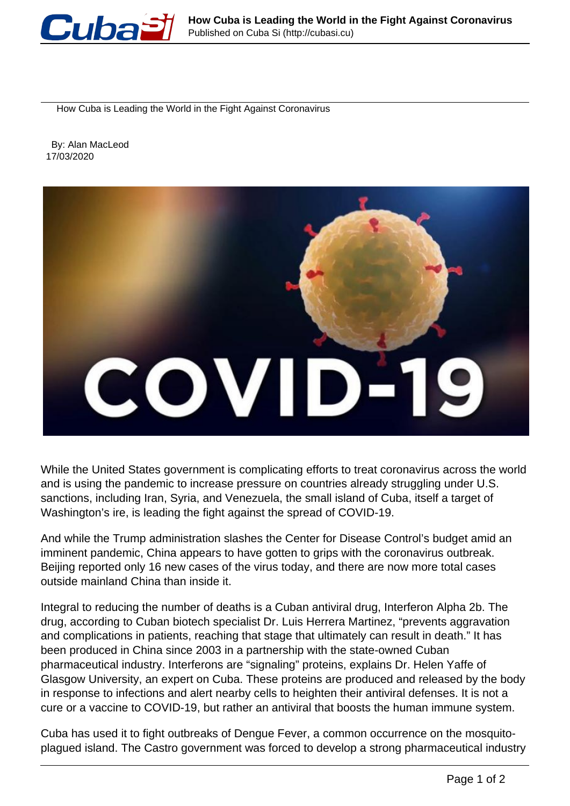

How Cuba is Leading the World in the Fight Against Coronavirus

 By: Alan MacLeod 17/03/2020



While the United States government is complicating efforts to treat coronavirus across the world and is using the pandemic to increase pressure on countries already struggling under U.S. sanctions, including Iran, Syria, and Venezuela, the small island of Cuba, itself a target of Washington's ire, is leading the fight against the spread of COVID-19.

And while the Trump administration slashes the Center for Disease Control's budget amid an imminent pandemic, China appears to have gotten to grips with the coronavirus outbreak. Beijing reported only 16 new cases of the virus today, and there are now more total cases outside mainland China than inside it.

Integral to reducing the number of deaths is a Cuban antiviral drug, Interferon Alpha 2b. The drug, according to Cuban biotech specialist Dr. Luis Herrera Martinez, "prevents aggravation and complications in patients, reaching that stage that ultimately can result in death." It has been produced in China since 2003 in a partnership with the state-owned Cuban pharmaceutical industry. Interferons are "signaling" proteins, explains Dr. Helen Yaffe of Glasgow University, an expert on Cuba. These proteins are produced and released by the body in response to infections and alert nearby cells to heighten their antiviral defenses. It is not a cure or a vaccine to COVID-19, but rather an antiviral that boosts the human immune system.

Cuba has used it to fight outbreaks of Dengue Fever, a common occurrence on the mosquitoplagued island. The Castro government was forced to develop a strong pharmaceutical industry